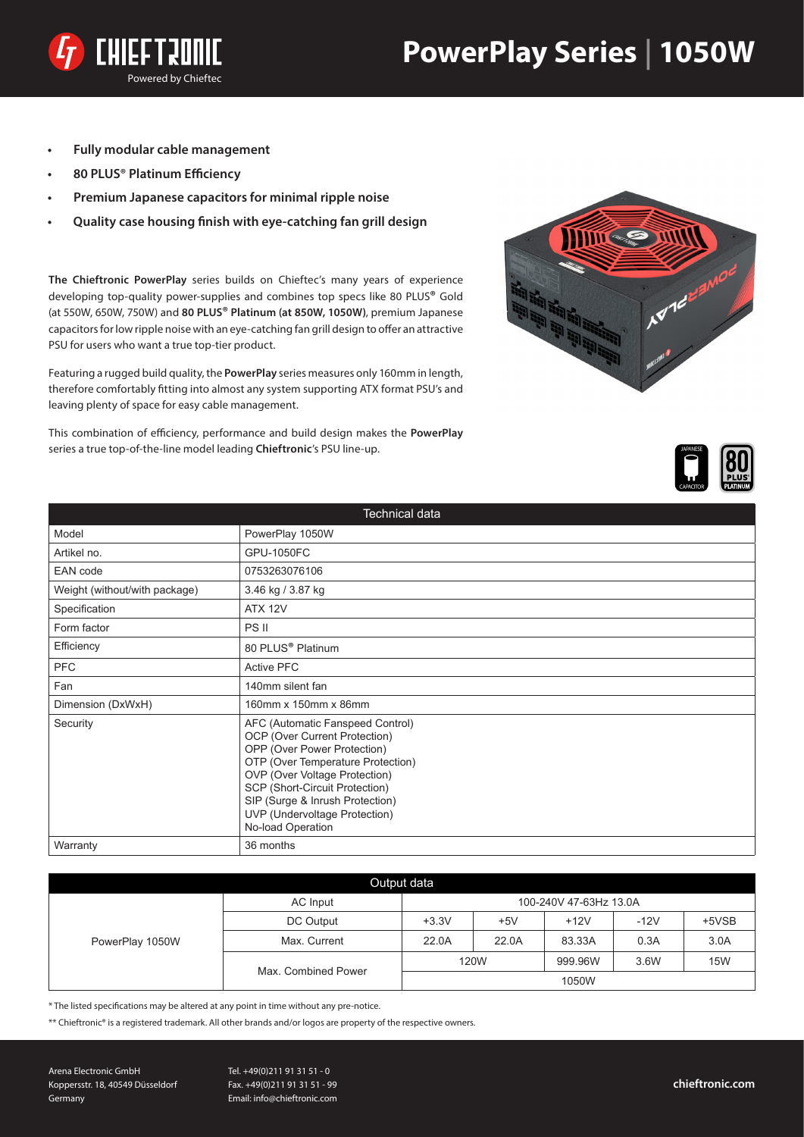



- **Fully modular cable management**
- **• 80 PLUS® Platinum Efficiency**
- **Premium Japanese capacitors for minimal ripple noise**
- **• Quality case housing finish with eye-catching fan grill design**

**The Chieftronic PowerPlay** series builds on Chieftec's many years of experience developing top-quality power-supplies and combines top specs like 80 PLUS**®** Gold (at 550W, 650W, 750W) and **80 PLUS® Platinum (at 850W, 1050W)**, premium Japanese capacitors for low ripple noise with an eye-catching fan grill design to offer an attractive PSU for users who want a true top-tier product.

Featuring a rugged build quality, the **PowerPlay** series measures only 160mm in length, therefore comfortably fitting into almost any system supporting ATX format PSU's and leaving plenty of space for easy cable management.

This combination of efficiency, performance and build design makes the **PowerPlay**  series a true top-of-the-line model leading **Chieftronic**'s PSU line-up.





| Technical data                |                                                                                                                                                                                                                                                                                                   |  |  |  |  |
|-------------------------------|---------------------------------------------------------------------------------------------------------------------------------------------------------------------------------------------------------------------------------------------------------------------------------------------------|--|--|--|--|
| Model                         | PowerPlay 1050W                                                                                                                                                                                                                                                                                   |  |  |  |  |
| Artikel no.                   | <b>GPU-1050FC</b>                                                                                                                                                                                                                                                                                 |  |  |  |  |
| <b>EAN</b> code               | 0753263076106                                                                                                                                                                                                                                                                                     |  |  |  |  |
| Weight (without/with package) | 3.46 kg / 3.87 kg                                                                                                                                                                                                                                                                                 |  |  |  |  |
| Specification                 | <b>ATX 12V</b>                                                                                                                                                                                                                                                                                    |  |  |  |  |
| Form factor                   | PS II                                                                                                                                                                                                                                                                                             |  |  |  |  |
| Efficiency                    | 80 PLUS <sup>®</sup> Platinum                                                                                                                                                                                                                                                                     |  |  |  |  |
| <b>PFC</b>                    | <b>Active PFC</b>                                                                                                                                                                                                                                                                                 |  |  |  |  |
| Fan                           | 140mm silent fan                                                                                                                                                                                                                                                                                  |  |  |  |  |
| Dimension (DxWxH)             | 160mm x 150mm x 86mm                                                                                                                                                                                                                                                                              |  |  |  |  |
| Security                      | AFC (Automatic Fanspeed Control)<br>OCP (Over Current Protection)<br>OPP (Over Power Protection)<br>OTP (Over Temperature Protection)<br>OVP (Over Voltage Protection)<br>SCP (Short-Circuit Protection)<br>SIP (Surge & Inrush Protection)<br>UVP (Undervoltage Protection)<br>No-load Operation |  |  |  |  |
| Warranty                      | 36 months                                                                                                                                                                                                                                                                                         |  |  |  |  |

| Output data     |                     |                        |       |         |        |            |  |  |
|-----------------|---------------------|------------------------|-------|---------|--------|------------|--|--|
| PowerPlay 1050W | AC Input            | 100-240V 47-63Hz 13.0A |       |         |        |            |  |  |
|                 | DC Output           | $+3.3V$                | $+5V$ | $+12V$  | $-12V$ | $+5VSB$    |  |  |
|                 | Max. Current        | 22.0A                  | 22.0A | 83.33A  | 0.3A   | 3.0A       |  |  |
|                 | Max. Combined Power | 120W                   |       | 999.96W | 3.6W   | <b>15W</b> |  |  |
|                 |                     |                        |       | 1050W   |        |            |  |  |

\* The listed specifications may be altered at any point in time without any pre-notice.

\*\* Chieftronic® is a registered trademark. All other brands and/or logos are property of the respective owners.

Arena Electronic GmbH Koppersstr. 18, 40549 Düsseldorf Germany

Tel. +49(0)211 91 31 51 - 0 Fax. +49(0)211 91 31 51 - 99 Email: info@chieftronic.com